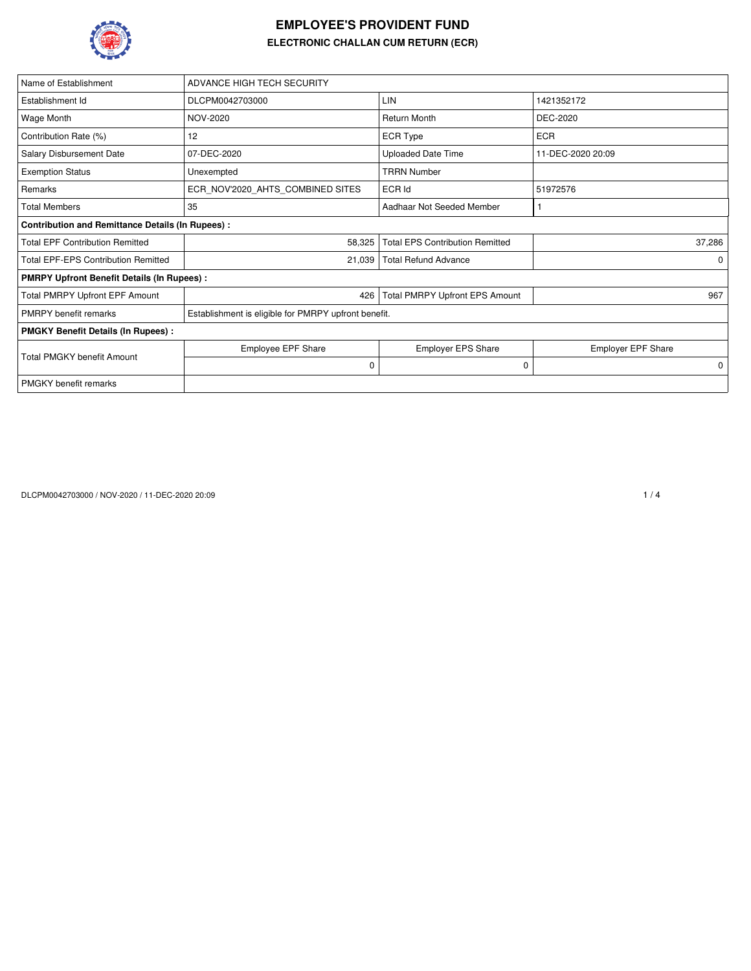

## **EMPLOYEE'S PROVIDENT FUND ELECTRONIC CHALLAN CUM RETURN (ECR)**

| Name of Establishment                                   | ADVANCE HIGH TECH SECURITY                           |                                        |                           |  |  |  |  |  |  |
|---------------------------------------------------------|------------------------------------------------------|----------------------------------------|---------------------------|--|--|--|--|--|--|
| Establishment Id                                        | DLCPM0042703000                                      | LIN                                    | 1421352172                |  |  |  |  |  |  |
| Wage Month                                              | NOV-2020                                             | <b>Return Month</b>                    | DEC-2020                  |  |  |  |  |  |  |
| Contribution Rate (%)                                   | 12                                                   | <b>ECR Type</b>                        | <b>ECR</b>                |  |  |  |  |  |  |
| Salary Disbursement Date                                | 07-DEC-2020                                          | <b>Uploaded Date Time</b>              | 11-DEC-2020 20:09         |  |  |  |  |  |  |
| <b>Exemption Status</b>                                 | Unexempted                                           | <b>TRRN Number</b>                     |                           |  |  |  |  |  |  |
| Remarks                                                 | ECR NOV'2020 AHTS COMBINED SITES                     | ECR Id                                 | 51972576                  |  |  |  |  |  |  |
| <b>Total Members</b>                                    | 35                                                   | Aadhaar Not Seeded Member              |                           |  |  |  |  |  |  |
| <b>Contribution and Remittance Details (In Rupees):</b> |                                                      |                                        |                           |  |  |  |  |  |  |
| <b>Total EPF Contribution Remitted</b>                  | 58,325                                               | <b>Total EPS Contribution Remitted</b> | 37,286                    |  |  |  |  |  |  |
| <b>Total EPF-EPS Contribution Remitted</b>              | 21,039                                               | <b>Total Refund Advance</b>            | $\Omega$                  |  |  |  |  |  |  |
| <b>PMRPY Upfront Benefit Details (In Rupees):</b>       |                                                      |                                        |                           |  |  |  |  |  |  |
| Total PMRPY Upfront EPF Amount                          | 426                                                  | <b>Total PMRPY Upfront EPS Amount</b>  | 967                       |  |  |  |  |  |  |
| <b>PMRPY</b> benefit remarks                            | Establishment is eligible for PMRPY upfront benefit. |                                        |                           |  |  |  |  |  |  |
| <b>PMGKY Benefit Details (In Rupees):</b>               |                                                      |                                        |                           |  |  |  |  |  |  |
|                                                         | <b>Employee EPF Share</b>                            | <b>Employer EPS Share</b>              | <b>Employer EPF Share</b> |  |  |  |  |  |  |
| <b>Total PMGKY benefit Amount</b>                       | $\mathbf 0$                                          | 0                                      | $\mathbf 0$               |  |  |  |  |  |  |
| <b>PMGKY</b> benefit remarks                            |                                                      |                                        |                           |  |  |  |  |  |  |

DLCPM0042703000 / NOV-2020 / 11-DEC-2020 20:09 1 / 4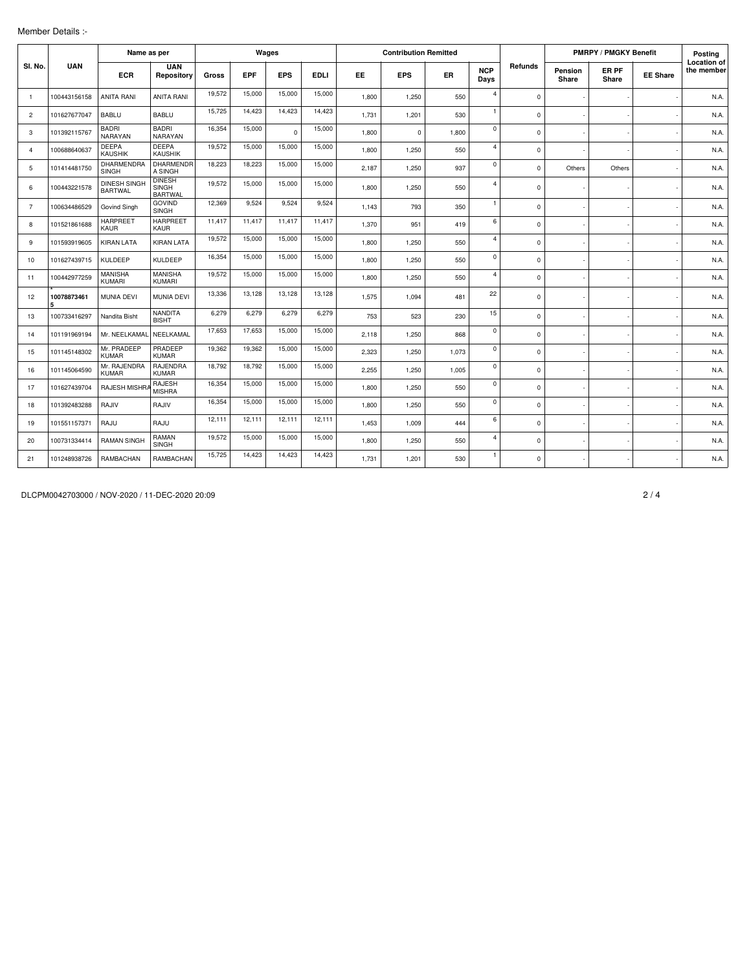| Member Details :- |  |
|-------------------|--|
|                   |  |

|                | Name as per      |                                       |                                          |        |            | Wages      |             |       | <b>Contribution Remitted</b> |           |                    |             | <b>PMRPY / PMGKY Benefit</b> |                |                 | Posting                          |
|----------------|------------------|---------------------------------------|------------------------------------------|--------|------------|------------|-------------|-------|------------------------------|-----------|--------------------|-------------|------------------------------|----------------|-----------------|----------------------------------|
| SI. No.        | <b>UAN</b>       | <b>ECR</b>                            | <b>UAN</b><br>Repository                 | Gross  | <b>EPF</b> | <b>EPS</b> | <b>EDLI</b> | EE.   | <b>EPS</b>                   | <b>ER</b> | <b>NCP</b><br>Days | Refunds     | Pension<br>Share             | ER PF<br>Share | <b>EE Share</b> | <b>Location of</b><br>the member |
| $\overline{1}$ | 100443156158     | <b>ANITA RANI</b>                     | <b>ANITA RANI</b>                        | 19,572 | 15,000     | 15,000     | 15,000      | 1,800 | 1,250                        | 550       | $\overline{4}$     | $\Omega$    |                              |                |                 | N.A.                             |
| $\overline{2}$ | 101627677047     | <b>BABLU</b>                          | <b>BABLU</b>                             | 15,725 | 14,423     | 14,423     | 14,423      | 1,731 | 1,201                        | 530       | $\overline{1}$     | $\mathbf 0$ |                              |                |                 | N.A.                             |
| 3              | 101392115767     | <b>BADRI</b><br>NARAYAN               | <b>BADRI</b><br>NARAYAN                  | 16,354 | 15,000     | $\Omega$   | 15,000      | 1,800 | $\mathbf 0$                  | 1,800     | $\mathbf 0$        | $\Omega$    |                              |                |                 | N.A.                             |
| $\overline{4}$ | 100688640637     | <b>DEEPA</b><br><b>KAUSHIK</b>        | <b>DEEPA</b><br><b>KAUSHIK</b>           | 19,572 | 15,000     | 15,000     | 15,000      | 1,800 | 1,250                        | 550       | $\overline{4}$     | $\mathbf 0$ |                              |                |                 | N.A.                             |
| 5              | 101414481750     | DHARMENDRA<br><b>SINGH</b>            | <b>DHARMENDR</b><br>A SINGH              | 18,223 | 18,223     | 15,000     | 15,000      | 2,187 | 1,250                        | 937       | $\mathbf 0$        | 0           | Others                       | Others         |                 | N.A.                             |
| 6              | 100443221578     | <b>DINESH SINGH</b><br><b>BARTWAL</b> | <b>DINESH</b><br>SINGH<br><b>BARTWAL</b> | 19,572 | 15,000     | 15,000     | 15,000      | 1.800 | 1.250                        | 550       | $\overline{4}$     | $\mathbf 0$ |                              |                |                 | N.A.                             |
| $\overline{7}$ | 100634486529     | Govind Singh                          | <b>GOVIND</b><br><b>SINGH</b>            | 12,369 | 9,524      | 9,524      | 9,524       | 1.143 | 793                          | 350       | $\mathbf{1}$       | $\mathbf 0$ |                              |                |                 | N.A.                             |
| 8              | 101521861688     | <b>HARPREET</b><br>KAUR               | <b>HARPREET</b><br>KAUR                  | 11,417 | 11,417     | 11,417     | 11,417      | 1.370 | 951                          | 419       | 6                  | 0           |                              |                |                 | N.A.                             |
| 9              | 101593919605     | <b>KIRAN LATA</b>                     | <b>KIRAN LATA</b>                        | 19,572 | 15,000     | 15,000     | 15,000      | 1.800 | 1,250                        | 550       | $\overline{4}$     | 0           |                              |                |                 | N.A.                             |
| 10             | 101627439715     | KULDEEP                               | <b>KULDEEP</b>                           | 16,354 | 15,000     | 15,000     | 15,000      | 1.800 | 1,250                        | 550       | $\mathbf 0$        | 0           |                              |                |                 | N.A.                             |
| 11             | 100442977259     | <b>MANISHA</b><br><b>KUMARI</b>       | <b>MANISHA</b><br><b>KUMARI</b>          | 19.572 | 15.000     | 15,000     | 15,000      | 1.800 | 1,250                        | 550       | $\overline{4}$     | $\Omega$    |                              |                |                 | N.A.                             |
| 12             | 10078873461<br>5 | <b>MUNIA DEVI</b>                     | <b>MUNIA DEVI</b>                        | 13,336 | 13,128     | 13,128     | 13,128      | 1.575 | 1.094                        | 481       | 22                 | 0           |                              |                |                 | N.A.                             |
| 13             | 100733416297     | Nandita Bisht                         | <b>NANDITA</b><br><b>BISHT</b>           | 6,279  | 6.279      | 6,279      | 6,279       | 753   | 523                          | 230       | 15                 | 0           |                              |                |                 | N.A.                             |
| 14             | 101191969194     | Mr. NEELKAMAL                         | NEELKAMAL                                | 17,653 | 17,653     | 15,000     | 15,000      | 2.118 | 1,250                        | 868       | $\mathbf 0$        | $\Omega$    |                              |                |                 | N.A.                             |
| 15             | 101145148302     | Mr. PRADEEP<br><b>KUMAR</b>           | PRADEEP<br><b>KUMAR</b>                  | 19,362 | 19,362     | 15,000     | 15,000      | 2,323 | 1,250                        | 1,073     | $\mathbf 0$        | $\mathbf 0$ |                              |                |                 | N.A.                             |
| 16             | 101145064590     | Mr. RAJENDRA<br><b>KUMAR</b>          | RAJENDRA<br><b>KUMAR</b>                 | 18.792 | 18.792     | 15,000     | 15,000      | 2,255 | 1,250                        | 1,005     | $\mathbf 0$        | $\mathbf 0$ |                              |                |                 | N.A.                             |
| 17             | 101627439704     | RAJESH MISHR/                         | <b>RAJESH</b><br><b>MISHRA</b>           | 16,354 | 15,000     | 15,000     | 15,000      | 1,800 | 1,250                        | 550       | $\mathbf 0$        | $\mathbf 0$ |                              |                |                 | N.A.                             |
| 18             | 101392483288     | RAJIV                                 | RAJIV                                    | 16,354 | 15,000     | 15,000     | 15,000      | 1,800 | 1,250                        | 550       | $\mathbf 0$        | $\mathbf 0$ |                              |                |                 | N.A.                             |
| 19             | 101551157371     | RAJU                                  | RAJU                                     | 12,111 | 12,111     | 12,111     | 12,111      | 1,453 | 1,009                        | 444       | 6                  | $\mathbf 0$ |                              |                |                 | N.A.                             |
| 20             | 100731334414     | <b>RAMAN SINGH</b>                    | RAMAN<br><b>SINGH</b>                    | 19,572 | 15,000     | 15,000     | 15,000      | 1,800 | 1,250                        | 550       | $\overline{4}$     | $\mathbf 0$ |                              |                |                 | N.A.                             |
| 21             | 101248938726     | RAMBACHAN                             | RAMBACHAN                                | 15,725 | 14,423     | 14,423     | 14,423      | 1,731 | 1,201                        | 530       | $\mathbf{1}$       | 0           |                              |                |                 | N.A.                             |

DLCPM0042703000 / NOV-2020 / 11-DEC-2020 20:09 2 / 4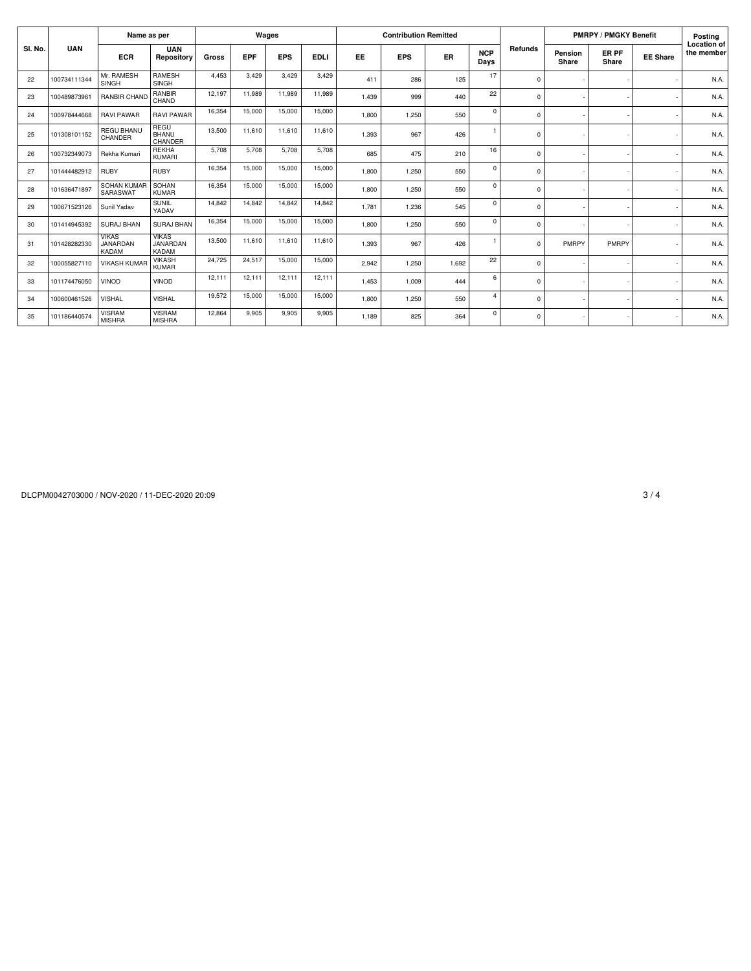|         |              | Name as per                              |                                          |        |            | Wages      |             |           | <b>Contribution Remitted</b> |       |                    |          | <b>PMRPY / PMGKY Benefit</b> | Posting        |                          |                                  |
|---------|--------------|------------------------------------------|------------------------------------------|--------|------------|------------|-------------|-----------|------------------------------|-------|--------------------|----------|------------------------------|----------------|--------------------------|----------------------------------|
| SI. No. | <b>UAN</b>   | <b>ECR</b>                               | <b>UAN</b><br>Repository                 | Gross  | <b>EPF</b> | <b>EPS</b> | <b>EDLI</b> | <b>EE</b> | <b>EPS</b>                   | ER    | <b>NCP</b><br>Days | Refunds  | Pension<br>Share             | ER PF<br>Share | <b>EE Share</b>          | <b>Location of</b><br>the member |
| 22      | 100734111344 | Mr. RAMESH<br><b>SINGH</b>               | <b>RAMESH</b><br><b>SINGH</b>            | 4.453  | 3.429      | 3,429      | 3,429       | 411       | 286                          | 125   | 17                 | $\Omega$ |                              |                |                          | N.A.                             |
| 23      | 100489873961 | <b>RANBIR CHAND</b>                      | RANBIR<br>CHAND                          | 12,197 | 11.989     | 11,989     | 11,989      | 1.439     | 999                          | 440   | 22                 | 0        |                              |                |                          | N.A.                             |
| 24      | 100978444668 | <b>RAVI PAWAR</b>                        | <b>RAVI PAWAR</b>                        | 16.354 | 15,000     | 15,000     | 15,000      | 1,800     | 1,250                        | 550   | $\mathbf 0$        | $\Omega$ |                              |                |                          | N.A.                             |
| 25      | 101308101152 | <b>REGU BHANU</b><br>CHANDER             | REGU<br>BHANU<br>CHANDER                 | 13,500 | 11.610     | 11,610     | 11,610      | 1,393     | 967                          | 426   |                    | $\Omega$ |                              |                |                          | N.A.                             |
| 26      | 100732349073 | Rekha Kumari                             | <b>REKHA</b><br><b>KUMARI</b>            | 5,708  | 5,708      | 5,708      | 5,708       | 685       | 475                          | 210   | 16                 | 0        |                              |                |                          | N.A.                             |
| 27      | 101444482912 | <b>RUBY</b>                              | <b>RUBY</b>                              | 16,354 | 15,000     | 15,000     | 15,000      | 1.800     | 1.250                        | 550   | $\mathbf 0$        | $\Omega$ |                              |                |                          | N.A.                             |
| 28      | 101636471897 | SOHAN KUMAR<br>SARASWAT                  | SOHAN<br><b>KUMAR</b>                    | 16.354 | 15,000     | 15,000     | 15,000      | 1.800     | 1,250                        | 550   | $\mathbf 0$        | 0        |                              |                |                          | N.A.                             |
| 29      | 100671523126 | Sunil Yadav                              | <b>SUNIL</b><br>YADAV                    | 14.842 | 14.842     | 14,842     | 14,842      | 1.781     | 1,236                        | 545   | $\Omega$           | $\Omega$ |                              |                |                          | N.A.                             |
| 30      | 101414945392 | <b>SURAJ BHAN</b>                        | SURAJ BHAN                               | 16.354 | 15.000     | 15,000     | 15,000      | 1,800     | 1,250                        | 550   | $\mathbf 0$        | 0        |                              |                | $\overline{\phantom{a}}$ | N.A.                             |
| 31      | 101428282330 | <b>VIKAS</b><br>JANARDAN<br><b>KADAM</b> | <b>VIKAS</b><br>JANARDAN<br><b>KADAM</b> | 13,500 | 11.610     | 11,610     | 11,610      | 1,393     | 967                          | 426   | -1                 | 0        | PMRPY                        | PMRPY          |                          | N.A.                             |
| 32      | 100055827110 | <b>VIKASH KUMAR</b>                      | <b>VIKASH</b><br><b>KUMAR</b>            | 24,725 | 24,517     | 15,000     | 15,000      | 2.942     | 1,250                        | 1,692 | 22                 | $\Omega$ |                              |                |                          | N.A.                             |
| 33      | 101174476050 | <b>VINOD</b>                             | <b>VINOD</b>                             | 12,111 | 12.111     | 12,111     | 12,111      | 1.453     | 1.009                        | 444   | 6                  | 0        |                              |                |                          | N.A.                             |
| 34      | 100600461526 | <b>VISHAL</b>                            | <b>VISHAL</b>                            | 19,572 | 15,000     | 15,000     | 15,000      | 1.800     | 1,250                        | 550   | $\overline{4}$     | 0        |                              |                | $\overline{\phantom{a}}$ | N.A.                             |
| 35      | 101186440574 | <b>VISRAM</b><br><b>MISHRA</b>           | <b>VISRAM</b><br><b>MISHRA</b>           | 12,864 | 9,905      | 9,905      | 9,905       | 1.189     | 825                          | 364   | $\mathbf 0$        | $\Omega$ |                              |                |                          | N.A.                             |

DLCPM0042703000 / NOV-2020 / 11-DEC-2020 20:09 3 / 4